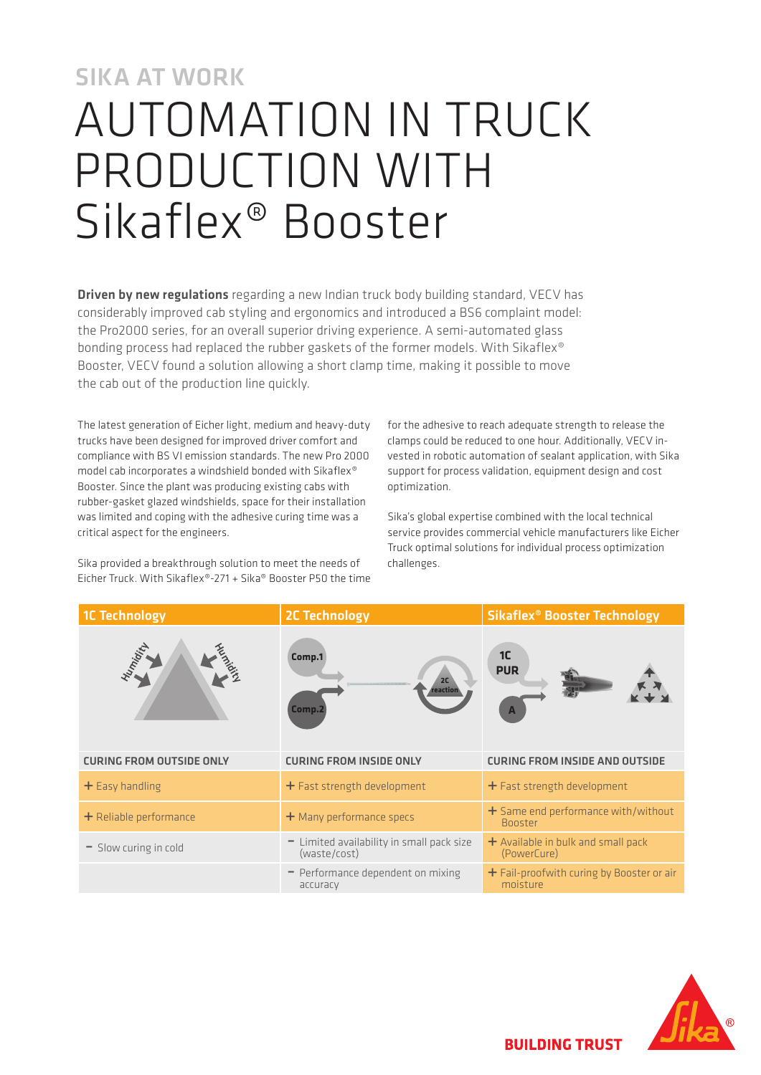# SIKA AT WORK AUTOMATION IN TRUCK PRODUCTION WITH Sikaflex® Booster

**Driven by new regulations** regarding a new Indian truck body building standard, VECV has considerably improved cab styling and ergonomics and introduced a BS6 complaint model: the Pro2000 series, for an overall superior driving experience. A semi-automated glass bonding process had replaced the rubber gaskets of the former models. With Sikaflex® Booster, VECV found a solution allowing a short clamp time, making it possible to move the cab out of the production line quickly.

The latest generation of Eicher light, medium and heavy-duty trucks have been designed for improved driver comfort and compliance with BS VI emission standards. The new Pro 2000 model cab incorporates a windshield bonded with Sikaflex® Booster. Since the plant was producing existing cabs with rubber-gasket glazed windshields, space for their installation was limited and coping with the adhesive curing time was a critical aspect for the engineers.

Sika provided a breakthrough solution to meet the needs of Eicher Truck. With Sikaflex®-271 + Sika® Booster P50 the time for the adhesive to reach adequate strength to release the clamps could be reduced to one hour. Additionally, VECV invested in robotic automation of sealant application, with Sika support for process validation, equipment design and cost optimization.

Sika's global expertise combined with the local technical service provides commercial vehicle manufacturers like Eicher Truck optimal solutions for individual process optimization challenges.

| <b>1C Technology</b>            | <b>2C Technology</b>                                      | <b>Sikaflex<sup>®</sup> Booster Technology</b>          |
|---------------------------------|-----------------------------------------------------------|---------------------------------------------------------|
| umidity                         | Comp.1<br>2C<br>reaction<br>Comp.2                        | 1 <sup>C</sup><br><b>PUR</b>                            |
| <b>CURING FROM OUTSIDE ONLY</b> | <b>CURING FROM INSIDE ONLY</b>                            | <b>CURING FROM INSIDE AND OUTSIDE</b>                   |
| $+$ Easy handling               | $+$ Fast strength development                             | + Fast strength development                             |
| $+$ Reliable performance        | + Many performance specs                                  | $+$ Same end performance with/without<br><b>Booster</b> |
| - Slow curing in cold           | - Limited availability in small pack size<br>(waste/cost) | $+$ Available in bulk and small pack<br>(PowerCure)     |
|                                 | - Performance dependent on mixing<br>accuracy             | + Fail-proofwith curing by Booster or air<br>moisture   |